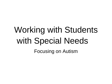# Working with Students with Special Needs Focusing on Autism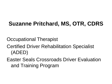#### **Suzanne Pritchard, MS, OTR, CDRS**

Occupational Therapist

Certified Driver Rehabilitation Specialist (ADED)

Easter Seals Crossroads Driver Evaluation and Training Program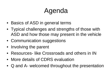# Agenda

- Basics of ASD in general terms
- Typical challenges and strengths of those with ASD and how those may present in the vehicle
- Communication suggestions
- Involving the parent
- Resources- like Crossroads and others in IN
- More details of CDRS evaluation
- Q and A- welcomed throughout the presentation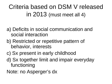Criteria based on DSM V released in 2013 (must meet all 4)

- a) Deficits in social communication and social interaction
- b) Restricted or repetitive pattern of behavior, interests
- c) Sx present in early childhood
- d) Sx together limit and impair everyday functioning
- Note: no Asperger's dx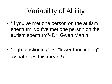# Variability of Ability

• "if you've met one person on the autism spectrum, you've met one person on the autism spectrum"- Dr. Gwen Martin

• "high functioning" vs. "lower functioning" (what does this mean?)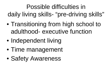Possible difficulties in daily living skills- "pre-driving skills"

- Transitioning from high school to adulthood- executive function
- Independent living
- Time management
- Safety Awareness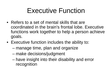### Executive Function

- Refers to a set of mental skills that are coordinated in the brain's frontal lobe. Executive functions work together to help a person achieve goals.
- Executive function includes the ability to:
	- manage time, plan and organize
	- make decisions/judgment
	- have insight into their disability and error recognition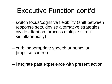### Executive Function cont'd

- switch focus/cognitive flexibility (shift between response sets, devise alternative strategies, divide attention, process multiple stimuli simultaneously)
- curb inappropriate speech or behavior (impulse control)
- integrate past experience with present action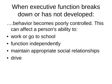When executive function breaks down or has not developed:

….behavior becomes poorly controlled. This can affect a person's ability to:

- work or go to school
- function independently
- maintain appropriate social relationships
- drive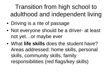#### Transition from high school to adulthood and independent living

- Driving is a rite of passage
- Not everyone should be a driver- at least not yet…or maybe ever
- What **life skills** does the student have? Areas addressed: home skills, personal skills, community skills, family responsibilities (red flags/key skills)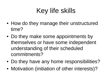# Key life skills

- How do they manage their unstructured time?
- Do they make some appointments by themselves or have some independent understanding of their scheduled commitments?
- Do they have any home responsibilities?
- Motivation (initiation of other interests)?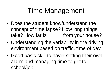### Time Management

- Does the student know/understand the concept of time lapse? How long things take? How far is \_\_\_\_\_\_ from your house?
- Understanding the variability in the driving environment based on traffic, time of day
- Good basic skill to have: setting their own alarm and managing time to get to school/job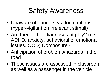### Safety Awareness

- Unaware of dangers vs. too cautious (hyper-vigilant on irrelevant stimuli)
- Are there other diagnoses at play? (i.e. ADHD, anxiety, behavioral of emotional issues, OCD) Composure?
- Anticipation of problems/hazards in the road
- These issues are assessed in classroom as well as a passenger in the vehicle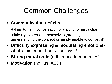## Common Challenges

- **Communication deficits**
	- -taking turns in conversation or waiting for instruction -difficulty expressing themselves (are they not understanding the concept or simply unable to convey it)
- **Difficulty expressing & modulating emotions**what is his or her frustration level?
- **Strong moral code** (adherence to road rules)
- **Motivation** (not just ASD)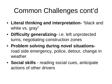# Common Challenges cont'd

- **Literal thinking and interpretation-** "black and white vs. gray"
- **Difficulty generalizing-** i.e. left unprotected turns, negotiating construction zones
- **Problem solving during novel situations**road side emergency, police, detour, change in weather
- **Social skills** reading social cues, anticipate actions of other drivers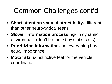# Common Challenges cont'd

- **Short attention span, distractibility-** different than other neuro-typical teens
- **Slower information processing-** in dynamic environment (don't be fooled by static tests)
- **Prioritizing information-** not everything has equal importance
- **Motor skills-**instinctive feel for the vehicle, coordination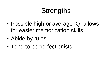### **Strengths**

- Possible high or average IQ- allows for easier memorization skills
- Abide by rules
- Tend to be perfectionists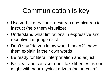## Communication is key

- Use verbal directions, gestures and pictures to instruct (help them visualize)
- Understand what limitations in expressive and receptive language exist
- Don't say "do you know what I mean?"- have them explain in their own words
- Be ready for literal interpretation and adjust
- Be clear and concise- don't take liberties as one might with neuro-typical drivers (no sarcasm)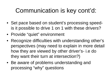#### Communication is key cont'd:

- Set pace based on student's processing speedis it possible to drive 1 on 1 with these drivers?
- Provide "quiet" environment
- Recognize difficulties with understanding other's perspectives (may need to explain in more detail how they are viewed by other driver's- i.e do they want their turn at intersection?)
- Be aware of problems understanding and processing "why" questions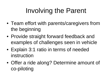# Involving the Parent

- Team effort with parents/caregivers from the beginning
- Provide straight forward feedback and examples of challenges seen in vehicle
- Explain 3:1 ratio in terms of needed instruction
- Offer a ride along? Determine amount of co-piloting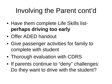# Involving the Parent cont'd

- Have them complete Life Skills list**perhaps driving too early**
- Offer ADED handout
- Give passenger activities for family to complete with student
- Thorough evaluation with CDRS
- If parents continue to "deny" challenges: Do they want to drive with the student?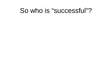#### So who is "successful"?

- 
- 
- - -
		- -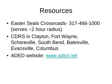#### Resources

- Easter Seals Crossroads- 317-466-1000 (serves ~2 hour radius)
- CDRS in Clayton, Fort Wayne, Schereville, South Bend, Batesville, Evansville, Columbus
- ADED website: [www.aded.net](http://www.aded.net/)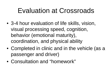#### Evaluation at Crossroads

- 3-4 hour evaluation of life skills, vision, visual processing speed, cognition, behavior (emotional maturity), coordination, and physical ability
- Completed in clinic and in the vehicle (as a passenger and driver)
- Consultation and "homework"